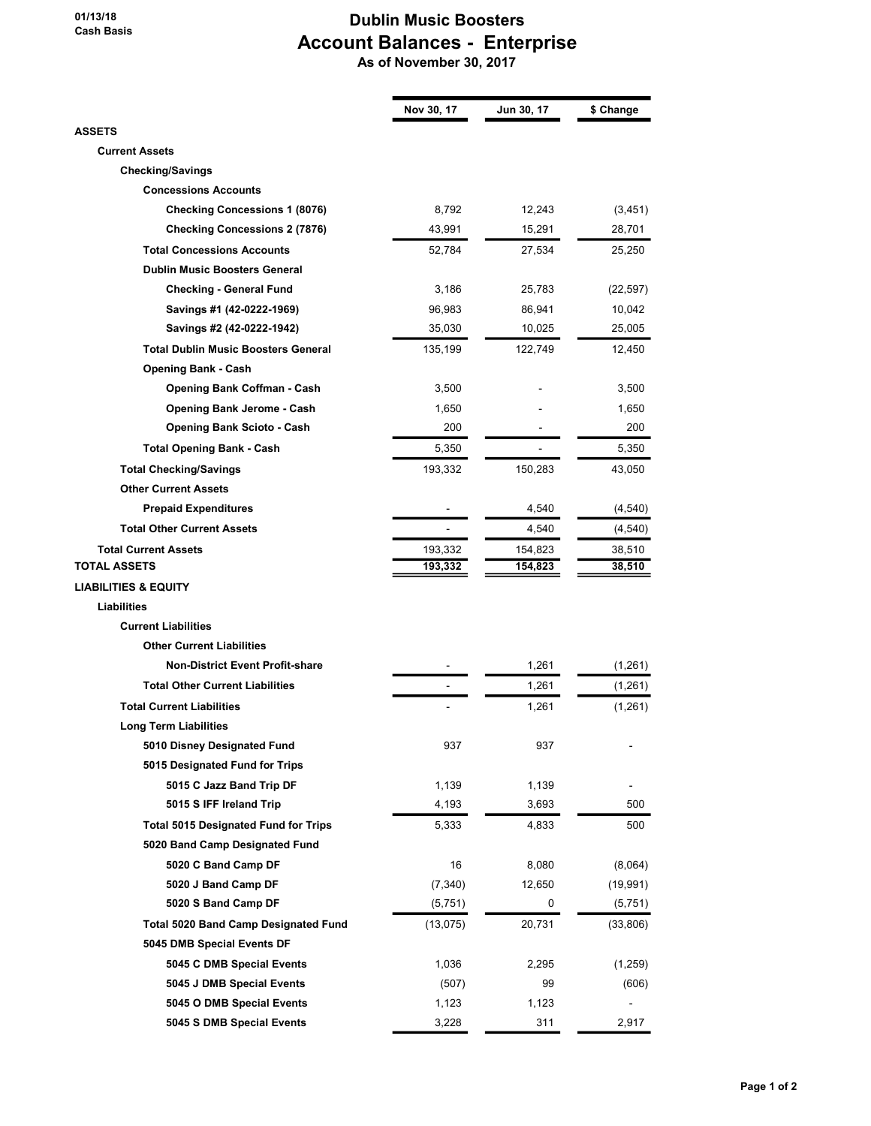## 01/13/18 Cash Basis

## Dublin Music Boosters Account Balances - Enterprise As of November 30, 2017

|                                             | Nov 30, 17 | Jun 30, 17 | \$ Change |
|---------------------------------------------|------------|------------|-----------|
| <b>ASSETS</b>                               |            |            |           |
| <b>Current Assets</b>                       |            |            |           |
| <b>Checking/Savings</b>                     |            |            |           |
| <b>Concessions Accounts</b>                 |            |            |           |
| <b>Checking Concessions 1 (8076)</b>        | 8,792      | 12,243     | (3, 451)  |
| <b>Checking Concessions 2 (7876)</b>        | 43,991     | 15,291     | 28,701    |
| <b>Total Concessions Accounts</b>           | 52,784     | 27,534     | 25,250    |
| <b>Dublin Music Boosters General</b>        |            |            |           |
| <b>Checking - General Fund</b>              | 3,186      | 25,783     | (22, 597) |
| Savings #1 (42-0222-1969)                   | 96,983     | 86,941     | 10,042    |
| Savings #2 (42-0222-1942)                   | 35,030     | 10,025     | 25,005    |
| <b>Total Dublin Music Boosters General</b>  | 135,199    | 122,749    | 12,450    |
| <b>Opening Bank - Cash</b>                  |            |            |           |
| <b>Opening Bank Coffman - Cash</b>          | 3,500      |            | 3,500     |
| Opening Bank Jerome - Cash                  | 1,650      |            | 1,650     |
| <b>Opening Bank Scioto - Cash</b>           | 200        |            | 200       |
| <b>Total Opening Bank - Cash</b>            | 5,350      |            | 5,350     |
| <b>Total Checking/Savings</b>               | 193,332    | 150,283    | 43,050    |
| <b>Other Current Assets</b>                 |            |            |           |
| <b>Prepaid Expenditures</b>                 |            | 4,540      | (4, 540)  |
| <b>Total Other Current Assets</b>           |            | 4,540      | (4, 540)  |
| <b>Total Current Assets</b>                 | 193,332    | 154,823    | 38,510    |
| TOTAL ASSETS                                | 193,332    | 154,823    | 38,510    |
| <b>LIABILITIES &amp; EQUITY</b>             |            |            |           |
| <b>Liabilities</b>                          |            |            |           |
| <b>Current Liabilities</b>                  |            |            |           |
| <b>Other Current Liabilities</b>            |            |            |           |
| <b>Non-District Event Profit-share</b>      |            | 1,261      | (1,261)   |
| <b>Total Other Current Liabilities</b>      |            | 1,261      | (1,261)   |
| <b>Total Current Liabilities</b>            |            | 1,261      | (1,261)   |
| <b>Long Term Liabilities</b>                |            |            |           |
| 5010 Disney Designated Fund                 | 937        | 937        |           |
| 5015 Designated Fund for Trips              |            |            |           |
| 5015 C Jazz Band Trip DF                    | 1,139      | 1,139      |           |
| 5015 S IFF Ireland Trip                     | 4,193      | 3,693      | 500       |
| <b>Total 5015 Designated Fund for Trips</b> | 5,333      | 4,833      | 500       |
| 5020 Band Camp Designated Fund              |            |            |           |
| 5020 C Band Camp DF                         | 16         | 8,080      | (8,064)   |
| 5020 J Band Camp DF                         | (7, 340)   | 12,650     | (19,991)  |
| 5020 S Band Camp DF                         | (5,751)    | 0          | (5,751)   |
| <b>Total 5020 Band Camp Designated Fund</b> | (13, 075)  | 20,731     | (33, 806) |
| 5045 DMB Special Events DF                  |            |            |           |
| 5045 C DMB Special Events                   | 1,036      | 2,295      | (1,259)   |
| 5045 J DMB Special Events                   | (507)      | 99         | (606)     |
| 5045 O DMB Special Events                   | 1,123      | 1,123      |           |
|                                             |            |            |           |
| 5045 S DMB Special Events                   | 3,228      | 311        | 2,917     |